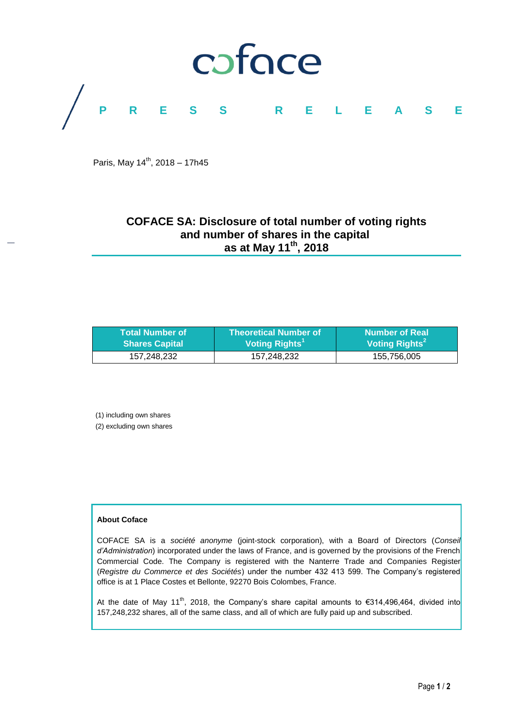

Paris, May 14<sup>th</sup>, 2018 - 17h45

# **COFACE SA: Disclosure of total number of voting rights and number of shares in the capital as at May 11 th, 2018**

| <b>Total Number of</b> | <b>Theoretical Number of</b> | <b>Number of Real</b>      |
|------------------------|------------------------------|----------------------------|
| <b>Shares Capital</b>  | Voting Rights <sup>1</sup>   | Voting Rights <sup>2</sup> |
| 157.248.232            | 157,248,232                  | 155,756,005                |

(1) including own shares

(2) excluding own shares

# **About Coface**

COFACE SA is a *société anonyme* (joint-stock corporation), with a Board of Directors (*Conseil d'Administration*) incorporated under the laws of France, and is governed by the provisions of the French Commercial Code. The Company is registered with the Nanterre Trade and Companies Register (*Registre du Commerce et des Sociétés*) under the number 432 413 599. The Company's registered office is at 1 Place Costes et Bellonte, 92270 Bois Colombes, France.

At the date of May 11<sup>th</sup>, 2018, the Company's share capital amounts to  $\epsilon$ 314,496,464, divided into 157,248,232 shares, all of the same class, and all of which are fully paid up and subscribed.